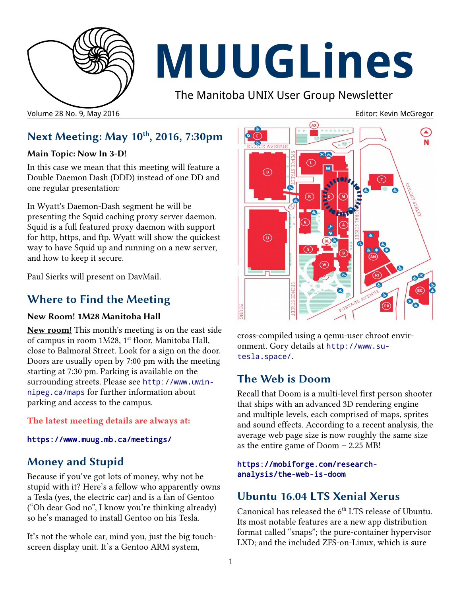

# **MUUGLines**

The Manitoba UNIX User Group Newsletter

Volume 28 No. 9, May 2016 **Editor: Kevin McGregor** Column 28 No. 9, May 2016

## **Next Meeting: May 10th, 2016, 7:30pm**

#### **Main Topic: Now In 3-D!**

In this case we mean that this meeting will feature a Double Daemon Dash (DDD) instead of one DD and one regular presentation:

In Wyatt's Daemon-Dash segment he will be presenting the Squid caching proxy server daemon. Squid is a full featured proxy daemon with support for http, https, and ftp. Wyatt will show the quickest way to have Squid up and running on a new server, and how to keep it secure.

Paul Sierks will present on DavMail.

## **Where to Find the Meeting**

#### **New Room! 1M28 Manitoba Hall**

**New room!** This month's meeting is on the east side of campus in room 1M28, 1<sup>st</sup> floor, Manitoba Hall, close to Balmoral Street. Look for a sign on the door. Doors are usually open by 7:00 pm with the meeting starting at 7:30 pm. Parking is available on the surrounding streets. Please see [http://www.uwin](http://www.uwinnipeg.ca/maps)[nipeg.ca/maps](http://www.uwinnipeg.ca/maps) for further information about parking and access to the campus.

**The latest meeting details are always at:**

<https://www.muug.mb.ca/meetings/>

## **Money and Stupid**

Because if you've got lots of money, why not be stupid with it? Here's a fellow who apparently owns a Tesla (yes, the electric car) and is a fan of Gentoo ("Oh dear God no", I know you're thinking already) so he's managed to install Gentoo on his Tesla.

It's not the whole car, mind you, just the big touchscreen display unit. It's a Gentoo ARM system,



cross-compiled using a qemu-user chroot environment. Gory details at [http://www.su](http://www.su-tesla.space/)[tesla.space/](http://www.su-tesla.space/).

## **The Web is Doom**

Recall that Doom is a multi-level first person shooter that ships with an advanced 3D rendering engine and multiple levels, each comprised of maps, sprites and sound effects. According to a recent analysis, the average web page size is now roughly the same size as the entire game of Doom – 2.25 MB!

#### [https://mobiforge.com/research](https://mobiforge.com/research-analysis/the-web-is-doom)[analysis/the-web-is-doom](https://mobiforge.com/research-analysis/the-web-is-doom)

## **Ubuntu 16.04 LTS Xenial Xerus**

Canonical has released the 6<sup>th</sup> LTS release of Ubuntu. Its most notable features are a new app distribution format called "snaps"; the pure-container hypervisor LXD; and the included ZFS-on-Linux, which is sure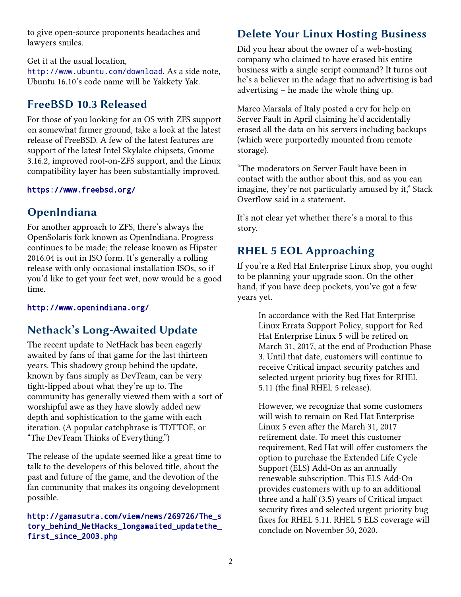to give open-source proponents headaches and lawyers smiles.

Get it at the usual location,

<http://www.ubuntu.com/download>. As a side note, Ubuntu 16.10's code name will be Yakkety Yak.

# **FreeBSD 10.3 Released**

For those of you looking for an OS with ZFS support on somewhat firmer ground, take a look at the latest release of FreeBSD. A few of the latest features are support of the latest Intel Skylake chipsets, Gnome 3.16.2, improved root-on-ZFS support, and the Linux compatibility layer has been substantially improved.

#### <https://www.freebsd.org/>

# **OpenIndiana**

For another approach to ZFS, there's always the OpenSolaris fork known as OpenIndiana. Progress continues to be made; the release known as Hipster 2016.04 is out in ISO form. It's generally a rolling release with only occasional installation ISOs, so if you'd like to get your feet wet, now would be a good time.

#### <http://www.openindiana.org/>

# **Nethack's Long-Awaited Update**

The recent update to NetHack has been eagerly awaited by fans of that game for the last thirteen years. This shadowy group behind the update, known by fans simply as DevTeam, can be very tight-lipped about what they're up to. The community has generally viewed them with a sort of worshipful awe as they have slowly added new depth and sophistication to the game with each iteration. (A popular catchphrase is TDTTOE, or "The DevTeam Thinks of Everything.")

The release of the update seemed like a great time to talk to the developers of this beloved title, about the past and future of the game, and the devotion of the fan community that makes its ongoing development possible.

#### [http://gamasutra.com/view/news/269726/The\\_s](http://gamasutra.com/view/news/269726/The_story_behind_NetHacks_longawaited_updatethe_first_since_2003.php) [tory\\_behind\\_NetHacks\\_longawaited\\_updatethe\\_](http://gamasutra.com/view/news/269726/The_story_behind_NetHacks_longawaited_updatethe_first_since_2003.php) [first\\_since\\_2003.php](http://gamasutra.com/view/news/269726/The_story_behind_NetHacks_longawaited_updatethe_first_since_2003.php)

## **Delete Your Linux Hosting Business**

Did you hear about the owner of a web-hosting company who claimed to have erased his entire business with a single script command? It turns out he's a believer in the adage that no advertising is bad advertising – he made the whole thing up.

Marco Marsala of Italy posted a cry for help on Server Fault in April claiming he'd accidentally erased all the data on his servers including backups (which were purportedly mounted from remote storage).

"The moderators on Server Fault have been in contact with the author about this, and as you can imagine, they're not particularly amused by it," Stack Overflow said in a statement.

It's not clear yet whether there's a moral to this story.

# **RHEL 5 EOL Approaching**

If you're a Red Hat Enterprise Linux shop, you ought to be planning your upgrade soon. On the other hand, if you have deep pockets, you've got a few years yet.

> In accordance with the Red Hat Enterprise Linux Errata Support Policy, support for Red Hat Enterprise Linux 5 will be retired on March 31, 2017, at the end of Production Phase 3. Until that date, customers will continue to receive Critical impact security patches and selected urgent priority bug fixes for RHEL 5.11 (the final RHEL 5 release).

However, we recognize that some customers will wish to remain on Red Hat Enterprise Linux 5 even after the March 31, 2017 retirement date. To meet this customer requirement, Red Hat will offer customers the option to purchase the Extended Life Cycle Support (ELS) Add-On as an annually renewable subscription. This ELS Add-On provides customers with up to an additional three and a half (3.5) years of Critical impact security fixes and selected urgent priority bug fixes for RHEL 5.11. RHEL 5 ELS coverage will conclude on November 30, 2020.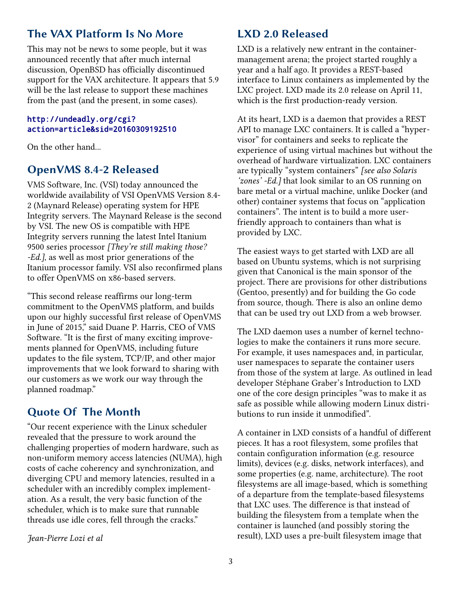## **The VAX Platform Is No More**

This may not be news to some people, but it was announced recently that after much internal discussion, OpenBSD has officially discontinued support for the VAX architecture. It appears that 5.9 will be the last release to support these machines from the past (and the present, in some cases).

#### [http://undeadly.org/cgi?](http://undeadly.org/cgi?action=article&sid=20160309192510) [action=article&sid=20160309192510](http://undeadly.org/cgi?action=article&sid=20160309192510)

On the other hand...

#### **OpenVMS 8.4-2 Released**

VMS Software, Inc. (VSI) today announced the worldwide availability of VSI OpenVMS Version 8.4- 2 (Maynard Release) operating system for HPE Integrity servers. The Maynard Release is the second by VSI. The new OS is compatible with HPE Integrity servers running the latest Intel Itanium 9500 series processor *[They're still making those? -Ed.]*, as well as most prior generations of the Itanium processor family. VSI also reconfirmed plans to offer OpenVMS on x86-based servers.

"This second release reaffirms our long-term commitment to the OpenVMS platform, and builds upon our highly successful first release of OpenVMS in June of 2015," said Duane P. Harris, CEO of VMS Software. "It is the first of many exciting improvements planned for OpenVMS, including future updates to the file system, TCP/IP, and other major improvements that we look forward to sharing with our customers as we work our way through the planned roadmap."

### **Quote Of The Month**

"Our recent experience with the Linux scheduler revealed that the pressure to work around the challenging properties of modern hardware, such as non-uniform memory access latencies (NUMA), high costs of cache coherency and synchronization, and diverging CPU and memory latencies, resulted in a scheduler with an incredibly complex implementation. As a result, the very basic function of the scheduler, which is to make sure that runnable threads use idle cores, fell through the cracks."

*Jean-Pierre Lozi et al*

#### **LXD 2.0 Released**

LXD is a relatively new entrant in the containermanagement arena; the project started roughly a year and a half ago. It provides a REST-based interface to Linux containers as implemented by the LXC project. LXD made its 2.0 release on April 11, which is the first production-ready version.

At its heart, LXD is a daemon that provides a REST API to manage LXC containers. It is called a "hypervisor" for containers and seeks to replicate the experience of using virtual machines but without the overhead of hardware virtualization. LXC containers are typically "system containers" *[see also Solaris 'zones' -Ed.]* that look similar to an OS running on bare metal or a virtual machine, unlike Docker (and other) container systems that focus on "application containers". The intent is to build a more userfriendly approach to containers than what is provided by LXC.

The easiest ways to get started with LXD are all based on Ubuntu systems, which is not surprising given that Canonical is the main sponsor of the project. There are provisions for other distributions (Gentoo, presently) and for building the Go code from source, though. There is also an online demo that can be used try out LXD from a web browser.

The LXD daemon uses a number of kernel technologies to make the containers it runs more secure. For example, it uses namespaces and, in particular, user namespaces to separate the container users from those of the system at large. As outlined in lead developer Stéphane Graber's Introduction to LXD one of the core design principles "was to make it as safe as possible while allowing modern Linux distributions to run inside it unmodified".

A container in LXD consists of a handful of different pieces. It has a root filesystem, some profiles that contain configuration information (e.g. resource limits), devices (e.g. disks, network interfaces), and some properties (e.g. name, architecture). The root filesystems are all image-based, which is something of a departure from the template-based filesystems that LXC uses. The difference is that instead of building the filesystem from a template when the container is launched (and possibly storing the result), LXD uses a pre-built filesystem image that